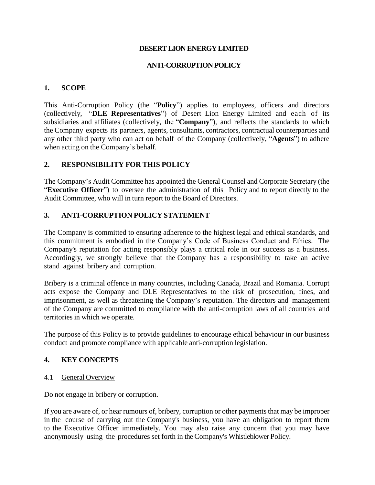## **DESERT LION ENERGY LIMITED**

## **ANTI-CORRUPTION POLICY**

### **1. SCOPE**

This Anti-Corruption Policy (the "**Policy**") applies to employees, officers and directors (collectively, "**DLE Representatives**") of Desert Lion Energy Limited and each of its subsidiaries and affiliates (collectively, the "**Company**"), and reflects the standards to which the Company expects its partners, agents, consultants, contractors, contractual counterparties and any other third party who can act on behalf of the Company (collectively, "**Agents**") to adhere when acting on the Company's behalf.

## **2. RESPONSIBILITY FOR THIS POLICY**

The Company's Audit Committee has appointed the General Counsel and Corporate Secretary (the "**Executive Officer**") to oversee the administration of this Policy and to report directly to the Audit Committee, who will in turn report to the Board of Directors.

## **3. ANTI-CORRUPTION POLICY STATEMENT**

The Company is committed to ensuring adherence to the highest legal and ethical standards, and this commitment is embodied in the Company's Code of Business Conduct and Ethics. The Company's reputation for acting responsibly plays a critical role in our success as a business. Accordingly, we strongly believe that the Company has a responsibility to take an active stand against bribery and corruption.

Bribery is a criminal offence in many countries, including Canada, Brazil and Romania. Corrupt acts expose the Company and DLE Representatives to the risk of prosecution, fines, and imprisonment, as well as threatening the Company's reputation. The directors and management of the Company are committed to compliance with the anti-corruption laws of all countries and territories in which we operate.

The purpose of this Policy is to provide guidelines to encourage ethical behaviour in our business conduct and promote compliance with applicable anti-corruption legislation.

# **4. KEY CONCEPTS**

4.1 General Overview

Do not engage in bribery or corruption.

If you are aware of, or hear rumours of, bribery, corruption or other payments that may be improper in the course of carrying out the Company's business, you have an obligation to report them to the Executive Officer immediately. You may also raise any concern that you may have anonymously using the procedures set forth in the Company's Whistleblower Policy.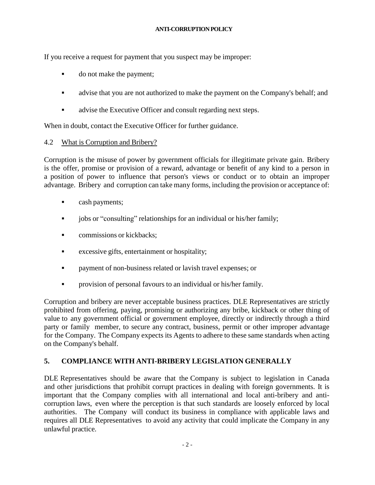If you receive a request for payment that you suspect may be improper:

- do not make the payment;
- **•** advise that you are not authorized to make the payment on the Company's behalf; and
- advise the Executive Officer and consult regarding next steps.

When in doubt, contact the Executive Officer for further guidance.

## 4.2 What is Corruption and Bribery?

Corruption is the misuse of power by government officials for illegitimate private gain. Bribery is the offer, promise or provision of a reward, advantage or benefit of any kind to a person in a position of power to influence that person's views or conduct or to obtain an improper advantage. Bribery and corruption can take many forms, including the provision or acceptance of:

- cash payments;
- **•** jobs or "consulting" relationships for an individual or his/her family;
- **•** commissions or kickbacks;
- excessive gifts, entertainment or hospitality;
- **•** payment of non-business related or lavish travel expenses; or
- **•** provision of personal favours to an individual or his/her family.

Corruption and bribery are never acceptable business practices. DLE Representatives are strictly prohibited from offering, paying, promising or authorizing any bribe, kickback or other thing of value to any government official or government employee, directly or indirectly through a third party or family member, to secure any contract, business, permit or other improper advantage for the Company. The Company expects its Agents to adhere to these same standards when acting on the Company's behalf.

# **5. COMPLIANCE WITH ANTI-BRIBERY LEGISLATION GENERALLY**

DLE Representatives should be aware that the Company is subject to legislation in Canada and other jurisdictions that prohibit corrupt practices in dealing with foreign governments. It is important that the Company complies with all international and local anti-bribery and anticorruption laws, even where the perception is that such standards are loosely enforced by local authorities. The Company will conduct its business in compliance with applicable laws and requires all DLE Representatives to avoid any activity that could implicate the Company in any unlawful practice.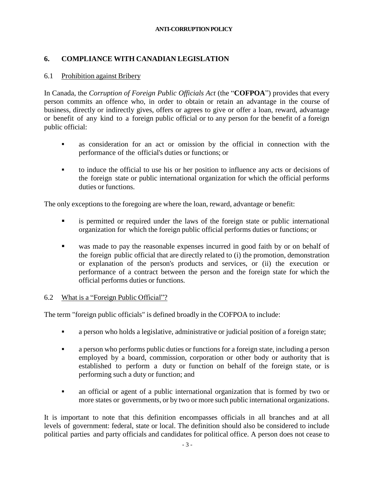## **6. COMPLIANCE WITH CANADIAN LEGISLATION**

### 6.1 Prohibition against Bribery

In Canada, the *Corruption of Foreign Public Officials Act* (the "**COFPOA**") provides that every person commits an offence who, in order to obtain or retain an advantage in the course of business, directly or indirectly gives, offers or agrees to give or offer a loan, reward, advantage or benefit of any kind to a foreign public official or to any person for the benefit of a foreign public official:

- as consideration for an act or omission by the official in connection with the performance of the official's duties or functions; or
- to induce the official to use his or her position to influence any acts or decisions of the foreign state or public international organization for which the official performs duties or functions.

The only exceptions to the foregoing are where the loan, reward, advantage or benefit:

- **Example 1** is permitted or required under the laws of the foreign state or public international organization for which the foreign public official performs duties or functions; or
- was made to pay the reasonable expenses incurred in good faith by or on behalf of the foreign public official that are directly related to (i) the promotion, demonstration or explanation of the person's products and services, or (ii) the execution or performance of a contract between the person and the foreign state for which the official performs duties or functions.

### 6.2 What is a "Foreign Public Official"?

The term "foreign public officials" is defined broadly in the COFPOA to include:

- a person who holds a legislative, administrative or judicial position of a foreign state;
- a person who performs public duties or functions for a foreign state, including a person employed by a board, commission, corporation or other body or authority that is established to perform a duty or function on behalf of the foreign state, or is performing such a duty or function; and
- an official or agent of a public international organization that is formed by two or more states or governments, or by two or more such public international organizations.

It is important to note that this definition encompasses officials in all branches and at all levels of government: federal, state or local. The definition should also be considered to include political parties and party officials and candidates for political office. A person does not cease to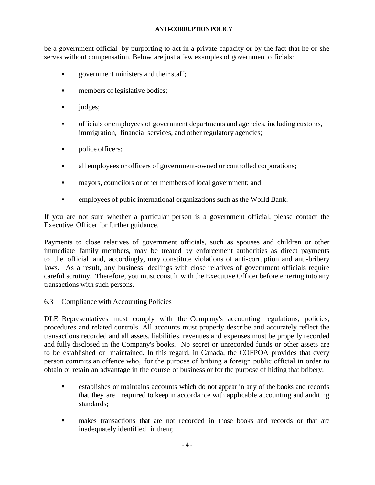be a government official by purporting to act in a private capacity or by the fact that he or she serves without compensation. Below are just a few examples of government officials:

- **•** government ministers and their staff;
- **•** members of legislative bodies;
- judges;
- officials or employees of government departments and agencies, including customs, immigration, financial services, and other regulatory agencies;
- · police officers;
- all employees or officers of government-owned or controlled corporations;
- mayors, councilors or other members of local government; and
- **•** employees of pubic international organizations such as the World Bank.

If you are not sure whether a particular person is a government official, please contact the Executive Officer for further guidance.

Payments to close relatives of government officials, such as spouses and children or other immediate family members, may be treated by enforcement authorities as direct payments to the official and, accordingly, may constitute violations of anti-corruption and anti-bribery laws. As a result, any business dealings with close relatives of government officials require careful scrutiny. Therefore, you must consult with the Executive Officer before entering into any transactions with such persons.

# 6.3 Compliance with Accounting Policies

DLE Representatives must comply with the Company's accounting regulations, policies, procedures and related controls. All accounts must properly describe and accurately reflect the transactions recorded and all assets, liabilities, revenues and expenses must be properly recorded and fully disclosed in the Company's books. No secret or unrecorded funds or other assets are to be established or maintained. In this regard, in Canada, the COFPOA provides that every person commits an offence who, for the purpose of bribing a foreign public official in order to obtain or retain an advantage in the course of business or for the purpose of hiding that bribery:

- establishes or maintains accounts which do not appear in any of the books and records that they are required to keep in accordance with applicable accounting and auditing standards;
- makes transactions that are not recorded in those books and records or that are inadequately identified in them;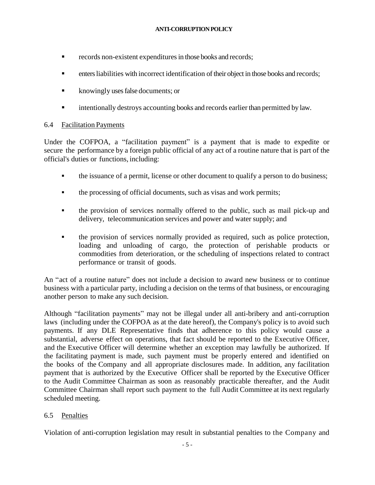- **Exercise 1** records non-existent expenditures in those books and records;
- enters liabilities with incorrect identification of their object in those books and records;
- knowingly uses false documents; or
- intentionally destroys accounting books and records earlier than permitted by law.

## 6.4 Facilitation Payments

Under the COFPOA, a "facilitation payment" is a payment that is made to expedite or secure the performance by a foreign public official of any act of a routine nature that is part of the official's duties or functions, including:

- the issuance of a permit, license or other document to qualify a person to do business;
- the processing of official documents, such as visas and work permits;
- the provision of services normally offered to the public, such as mail pick-up and delivery, telecommunication services and power and water supply; and
- the provision of services normally provided as required, such as police protection, loading and unloading of cargo, the protection of perishable products or commodities from deterioration, or the scheduling of inspections related to contract performance or transit of goods.

An "act of a routine nature" does not include a decision to award new business or to continue business with a particular party, including a decision on the terms of that business, or encouraging another person to make any such decision.

Although "facilitation payments" may not be illegal under all anti-bribery and anti-corruption laws (including under the COFPOA as at the date hereof), the Company's policy is to avoid such payments. If any DLE Representative finds that adherence to this policy would cause a substantial, adverse effect on operations, that fact should be reported to the Executive Officer, and the Executive Officer will determine whether an exception may lawfully be authorized. If the facilitating payment is made, such payment must be properly entered and identified on the books of the Company and all appropriate disclosures made. In addition, any facilitation payment that is authorized by the Executive Officer shall be reported by the Executive Officer to the Audit Committee Chairman as soon as reasonably practicable thereafter, and the Audit Committee Chairman shall report such payment to the full Audit Committee at its next regularly scheduled meeting.

# 6.5 Penalties

Violation of anti-corruption legislation may result in substantial penalties to the Company and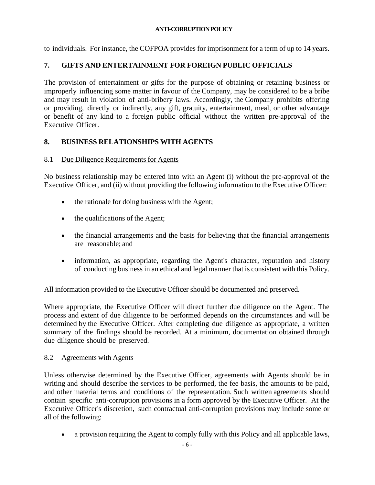to individuals. For instance, the COFPOA provides for imprisonment for a term of up to 14 years.

# **7. GIFTS AND ENTERTAINMENT FOR FOREIGN PUBLIC OFFICIALS**

The provision of entertainment or gifts for the purpose of obtaining or retaining business or improperly influencing some matter in favour of the Company, may be considered to be a bribe and may result in violation of anti-bribery laws. Accordingly, the Company prohibits offering or providing, directly or indirectly, any gift, gratuity, entertainment, meal, or other advantage or benefit of any kind to a foreign public official without the written pre-approval of the Executive Officer.

# **8. BUSINESS RELATIONSHIPS WITH AGENTS**

## 8.1 Due Diligence Requirements for Agents

No business relationship may be entered into with an Agent (i) without the pre-approval of the Executive Officer, and (ii) without providing the following information to the Executive Officer:

- the rationale for doing business with the Agent;
- the qualifications of the Agent;
- the financial arrangements and the basis for believing that the financial arrangements are reasonable; and
- information, as appropriate, regarding the Agent's character, reputation and history of conducting business in an ethical and legal manner that is consistent with this Policy.

All information provided to the Executive Officer should be documented and preserved.

Where appropriate, the Executive Officer will direct further due diligence on the Agent. The process and extent of due diligence to be performed depends on the circumstances and will be determined by the Executive Officer. After completing due diligence as appropriate, a written summary of the findings should be recorded. At a minimum, documentation obtained through due diligence should be preserved.

### 8.2 Agreements with Agents

Unless otherwise determined by the Executive Officer, agreements with Agents should be in writing and should describe the services to be performed, the fee basis, the amounts to be paid, and other material terms and conditions of the representation. Such written agreements should contain specific anti-corruption provisions in a form approved by the Executive Officer. At the Executive Officer's discretion, such contractual anti-corruption provisions may include some or all of the following:

• a provision requiring the Agent to comply fully with this Policy and all applicable laws,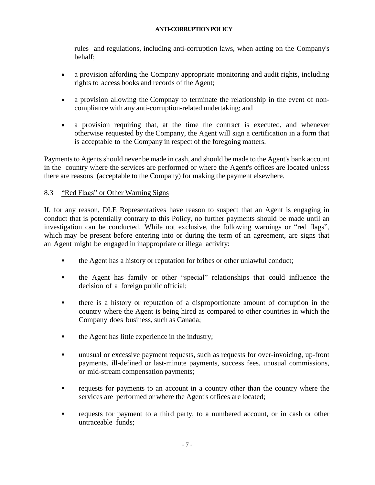rules and regulations, including anti-corruption laws, when acting on the Company's behalf;

- a provision affording the Company appropriate monitoring and audit rights, including rights to access books and records of the Agent;
- a provision allowing the Compnay to terminate the relationship in the event of noncompliance with any anti-corruption-related undertaking; and
- a provision requiring that, at the time the contract is executed, and whenever otherwise requested by the Company, the Agent will sign a certification in a form that is acceptable to the Company in respect of the foregoing matters.

Payments to Agents should never be made in cash, and should be made to the Agent's bank account in the country where the services are performed or where the Agent's offices are located unless there are reasons (acceptable to the Company) for making the payment elsewhere.

# 8.3 "Red Flags" or Other Warning Signs

If, for any reason, DLE Representatives have reason to suspect that an Agent is engaging in conduct that is potentially contrary to this Policy, no further payments should be made until an investigation can be conducted. While not exclusive, the following warnings or "red flags", which may be present before entering into or during the term of an agreement, are signs that an Agent might be engaged in inappropriate or illegal activity:

- the Agent has a history or reputation for bribes or other unlawful conduct;
- the Agent has family or other "special" relationships that could influence the decision of a foreign public official;
- there is a history or reputation of a disproportionate amount of corruption in the country where the Agent is being hired as compared to other countries in which the Company does business, such as Canada;
- **•** the Agent has little experience in the industry;
- unusual or excessive payment requests, such as requests for over-invoicing, up-front payments, ill-defined or last-minute payments, success fees, unusual commissions, or mid-stream compensation payments;
- requests for payments to an account in a country other than the country where the services are performed or where the Agent's offices are located;
- requests for payment to a third party, to a numbered account, or in cash or other untraceable funds;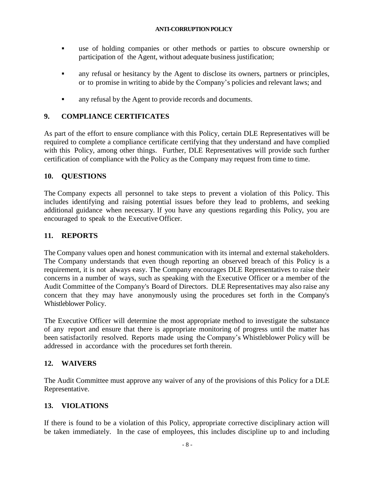- use of holding companies or other methods or parties to obscure ownership or participation of the Agent, without adequate business justification;
- any refusal or hesitancy by the Agent to disclose its owners, partners or principles, or to promise in writing to abide by the Company's policies and relevant laws; and
- any refusal by the Agent to provide records and documents.

# **9. COMPLIANCE CERTIFICATES**

As part of the effort to ensure compliance with this Policy, certain DLE Representatives will be required to complete a compliance certificate certifying that they understand and have complied with this Policy, among other things. Further, DLE Representatives will provide such further certification of compliance with the Policy as the Company may request from time to time.

# **10. QUESTIONS**

The Company expects all personnel to take steps to prevent a violation of this Policy. This includes identifying and raising potential issues before they lead to problems, and seeking additional guidance when necessary. If you have any questions regarding this Policy, you are encouraged to speak to the Executive Officer.

# **11. REPORTS**

The Company values open and honest communication with its internal and external stakeholders. The Company understands that even though reporting an observed breach of this Policy is a requirement, it is not always easy. The Company encourages DLE Representatives to raise their concerns in a number of ways, such as speaking with the Executive Officer or a member of the Audit Committee of the Company's Board of Directors. DLE Representatives may also raise any concern that they may have anonymously using the procedures set forth in the Company's Whistleblower Policy.

The Executive Officer will determine the most appropriate method to investigate the substance of any report and ensure that there is appropriate monitoring of progress until the matter has been satisfactorily resolved. Reports made using the Company's Whistleblower Policy will be addressed in accordance with the procedures set forth therein.

# **12. WAIVERS**

The Audit Committee must approve any waiver of any of the provisions of this Policy for a DLE Representative.

# **13. VIOLATIONS**

If there is found to be a violation of this Policy, appropriate corrective disciplinary action will be taken immediately. In the case of employees, this includes discipline up to and including